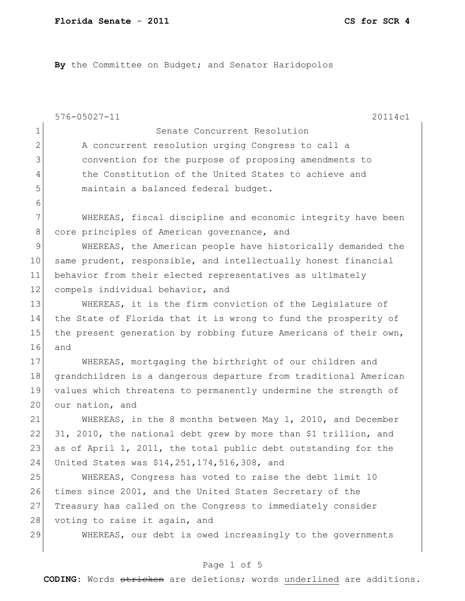By the Committee on Budget; and Senator Haridopolos

|              | $576 - 05027 - 11$<br>20114c1                                    |
|--------------|------------------------------------------------------------------|
| $\mathbf{1}$ | Senate Concurrent Resolution                                     |
| $\mathbf{2}$ | A concurrent resolution urging Congress to call a                |
| 3            | convention for the purpose of proposing amendments to            |
| 4            | the Constitution of the United States to achieve and             |
| 5            | maintain a balanced federal budget.                              |
| 6            |                                                                  |
| 7            | WHEREAS, fiscal discipline and economic integrity have been      |
| $8\,$        | core principles of American governance, and                      |
| $\mathsf 9$  | WHEREAS, the American people have historically demanded the      |
| 10           | same prudent, responsible, and intellectually honest financial   |
| 11           | behavior from their elected representatives as ultimately        |
| 12           | compels individual behavior, and                                 |
| 13           | WHEREAS, it is the firm conviction of the Legislature of         |
| 14           | the State of Florida that it is wrong to fund the prosperity of  |
| 15           | the present generation by robbing future Americans of their own, |
| 16           | and                                                              |
| 17           | WHEREAS, mortgaging the birthright of our children and           |
| 18           | grandchildren is a dangerous departure from traditional American |
| 19           | values which threatens to permanently undermine the strength of  |
| 20           | our nation, and                                                  |
| 21           | WHEREAS, in the 8 months between May 1, 2010, and December       |
| 22           | 31, 2010, the national debt grew by more than \$1 trillion, and  |
| 23           | as of April 1, 2011, the total public debt outstanding for the   |
| 24           | United States was \$14,251,174,516,308, and                      |
| 25           | WHEREAS, Congress has voted to raise the debt limit 10           |
| 26           | times since 2001, and the United States Secretary of the         |
| 27           | Treasury has called on the Congress to immediately consider      |
| 28           | voting to raise it again, and                                    |
| 29           | WHEREAS, our debt is owed increasingly to the governments        |
|              |                                                                  |

# Page 1 of 5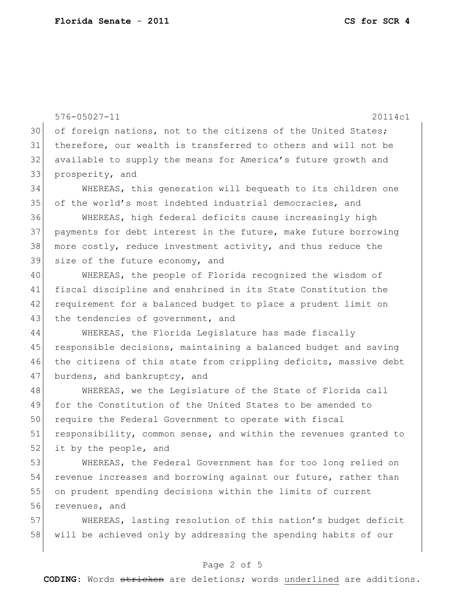56 revenues, and

576-05027-11 20114c1 30 of foreign nations, not to the citizens of the United States; 31 therefore, our wealth is transferred to others and will not be 32 available to supply the means for America's future growth and 33 prosperity, and 34 WHEREAS, this generation will bequeath to its children one 35 of the world's most indebted industrial democracies, and 36 WHEREAS, high federal deficits cause increasingly high 37 payments for debt interest in the future, make future borrowing 38 more costly, reduce investment activity, and thus reduce the 39 size of the future economy, and 40 WHEREAS, the people of Florida recognized the wisdom of 41 fiscal discipline and enshrined in its State Constitution the 42 requirement for a balanced budget to place a prudent limit on 43 the tendencies of government, and 44 WHEREAS, the Florida Legislature has made fiscally 45 responsible decisions, maintaining a balanced budget and saving 46 the citizens of this state from crippling deficits, massive debt 47 burdens, and bankruptcy, and 48 WHEREAS, we the Legislature of the State of Florida call 49 for the Constitution of the United States to be amended to 50 require the Federal Government to operate with fiscal 51 responsibility, common sense, and within the revenues granted to  $52$  it by the people, and 53 WHEREAS, the Federal Government has for too long relied on 54 revenue increases and borrowing against our future, rather than 55 on prudent spending decisions within the limits of current

57 WHEREAS, lasting resolution of this nation's budget deficit 58 will be achieved only by addressing the spending habits of our

### Page 2 of 5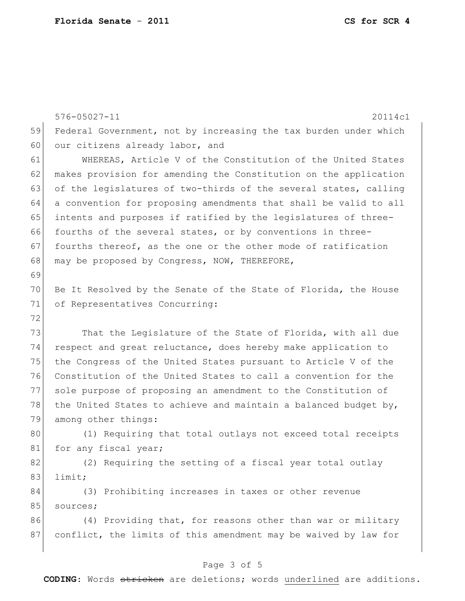|    | $576 - 05027 - 11$<br>20114c1                                    |
|----|------------------------------------------------------------------|
| 59 | Federal Government, not by increasing the tax burden under which |
| 60 | our citizens already labor, and                                  |
| 61 | WHEREAS, Article V of the Constitution of the United States      |
| 62 | makes provision for amending the Constitution on the application |
| 63 | of the legislatures of two-thirds of the several states, calling |
| 64 | a convention for proposing amendments that shall be valid to all |
| 65 | intents and purposes if ratified by the legislatures of three-   |
| 66 | fourths of the several states, or by conventions in three-       |
| 67 | fourths thereof, as the one or the other mode of ratification    |
| 68 | may be proposed by Congress, NOW, THEREFORE,                     |
| 69 |                                                                  |
| 70 | Be It Resolved by the Senate of the State of Florida, the House  |
| 71 | of Representatives Concurring:                                   |
| 72 |                                                                  |
| 73 | That the Legislature of the State of Florida, with all due       |
| 74 | respect and great reluctance, does hereby make application to    |
| 75 | the Congress of the United States pursuant to Article V of the   |
| 76 | Constitution of the United States to call a convention for the   |
| 77 | sole purpose of proposing an amendment to the Constitution of    |
| 78 | the United States to achieve and maintain a balanced budget by,  |
| 79 | among other things:                                              |
| 80 | (1) Requiring that total outlays not exceed total receipts       |
| 81 | for any fiscal year;                                             |
| 82 | (2) Requiring the setting of a fiscal year total outlay          |
| 83 | limit;                                                           |
| 84 | (3) Prohibiting increases in taxes or other revenue              |
| 85 | sources;                                                         |
| 86 | (4) Providing that, for reasons other than war or military       |
| 87 | conflict, the limits of this amendment may be waived by law for  |
|    |                                                                  |

# Page 3 of 5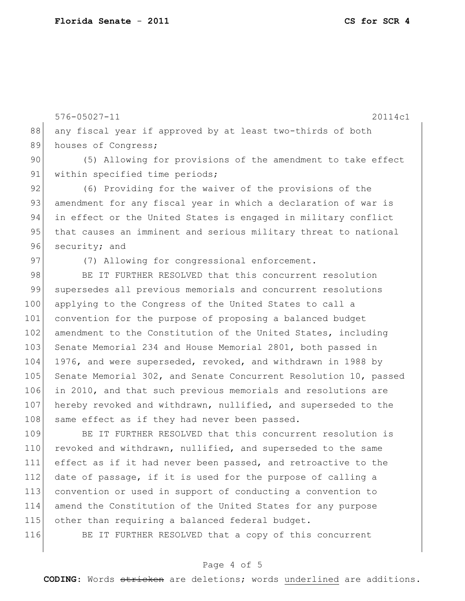576-05027-11 20114c1 88 any fiscal year if approved by at least two-thirds of both 89 houses of Congress; 90 (5) Allowing for provisions of the amendment to take effect 91 within specified time periods; 92 (6) Providing for the waiver of the provisions of the 93 amendment for any fiscal year in which a declaration of war is 94 in effect or the United States is engaged in military conflict 95 that causes an imminent and serious military threat to national

96 security; and

97 (7) Allowing for congressional enforcement.

98 BE IT FURTHER RESOLVED that this concurrent resolution 99 supersedes all previous memorials and concurrent resolutions 100 applying to the Congress of the United States to call a 101 convention for the purpose of proposing a balanced budget 102 amendment to the Constitution of the United States, including 103 Senate Memorial 234 and House Memorial 2801, both passed in 104 1976, and were superseded, revoked, and withdrawn in 1988 by 105 Senate Memorial 302, and Senate Concurrent Resolution 10, passed 106 in 2010, and that such previous memorials and resolutions are 107 hereby revoked and withdrawn, nullified, and superseded to the 108 same effect as if they had never been passed.

109 BE IT FURTHER RESOLVED that this concurrent resolution is 110 revoked and withdrawn, nullified, and superseded to the same 111 effect as if it had never been passed, and retroactive to the  $112$  date of passage, if it is used for the purpose of calling a 113 convention or used in support of conducting a convention to 114 amend the Constitution of the United States for any purpose 115 other than requiring a balanced federal budget.

116 BE IT FURTHER RESOLVED that a copy of this concurrent

### Page 4 of 5